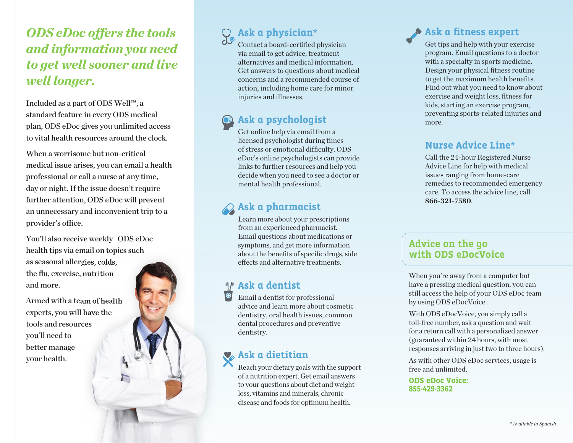# *ODS eDoc offers the tools and information you need to get well sooner and live well longer.*

Included as a part of ODS Well™, a standard feature in every ODS medical plan, ODS eDoc gives you unlimited access to vital health resources around the clock.

When a worrisome but non-critical medical issue arises, you can email a health professional or call a nurse at any time, day or night. If the issue doesn't require further attention, ODS eDoc will prevent an unnecessary and inconvenient trip to a provider's office.

You'll also receive weekly ODS eDoc health tips via email on topics such as seasonal allergies, colds, the flu, exercise, nutrition and more.

Armed with a team of health experts, you will have the tools and resources you'll need to better manage your health.

# **Ask a physician** \*

Contact a board-certified physician via email to get advice, treatment alternatives and medical information. Get answers to questions about medical concerns and a recommended course of action, including home care for minor injuries and illnesses.

# **Ask a psychologist**

Get online help via email from a licensed psychologist during times of stress or emotional difficulty. ODS eDoc's online psychologists can provide links to further resources and help you decide when you need to see a doctor or mental health professional.

### **Ask a pharmacist**

Learn more about your prescriptions from an experienced pharmacist. Email questions about medications or symptoms, and get more information about the benefits of specific drugs, side effects and alternative treatments.

#### **Ask a dentist**

Email a dentist for professional advice and learn more about cosmetic dentistry, oral health issues, common dental procedures and preventive dentistry.

## **Ask a dietitian**

Reach your dietary goals with the support of a nutrition expert. Get email answers to your questions about diet and weight loss, vitamins and minerals, chronic disease and foods for optimum health.

# **Ask a fitness expert**

Get tips and help with your exercise program. Email questions to a doctor with a specialty in sports medicine. Design your physical fitness routine to get the maximum health benefits. Find out what you need to know about exercise and weight loss, fitness for kids, starting an exercise program, preventing sports-related injuries and more.

#### **Nurse Advice Line** \*

Call the 24-hour Registered Nurse Advice Line for help with medical issues ranging from home-care remedies to recommended emergency care. To access the advice line, call **866-321-7580** .

#### **Advice on the go with ODS eDocVoice**

When you're away from a computer but have a pressing medical question, you can still access the help of your ODS eDoc team by using ODS eDocVoice.

With ODS eDocVoice, you simply call a toll-free number, ask a question and wait for a return call with a personalized answer (guaranteed within 24 hours, with most responses arriving in just two to three hours).

As with other ODS eDoc services, usage is free and unlimited.

**ODS eDoc Voice: 855-429-3362**